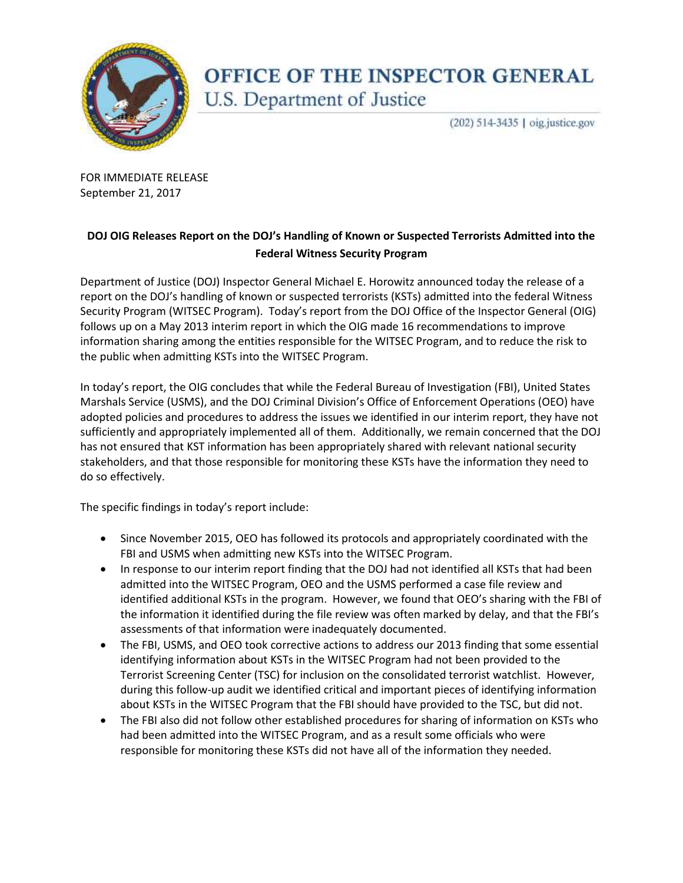

## OFFICE OF THE INSPECTOR GENERAL U.S. Department of Justice

(202) 514-3435 | oig.justice.gov

 FOR IMMEDIATE RELEASE September 21, 2017

## **DOJ OIG Releases Report on the DOJ's Handling of Known or Suspected Terrorists Admitted into the Federal Witness Security Program**

 Security Program (WITSEC Program). Today's report from the DOJ Office of the Inspector General (OIG) follows up on a May 2013 interim report in which the OIG made 16 recommendations to improve the public when admitting KSTs into the WITSEC Program. Department of Justice (DOJ) Inspector General Michael E. Horowitz announced today the release of a report on the DOJ's handling of known or suspected terrorists (KSTs) admitted into the federal Witness information sharing among the entities responsible for the WITSEC Program, and to reduce the risk to

 sufficiently and appropriately implemented all of them. Additionally, we remain concerned that the DOJ In today's report, the OIG concludes that while the Federal Bureau of Investigation (FBI), United States Marshals Service (USMS), and the DOJ Criminal Division's Office of Enforcement Operations (OEO) have adopted policies and procedures to address the issues we identified in our interim report, they have not has not ensured that KST information has been appropriately shared with relevant national security stakeholders, and that those responsible for monitoring these KSTs have the information they need to do so effectively.

The specific findings in today's report include:

- Since November 2015, OEO has followed its protocols and appropriately coordinated with the FBI and USMS when admitting new KSTs into the WITSEC Program.
- In response to our interim report finding that the DOJ had not identified all KSTs that had been identified additional KSTs in the program. However, we found that OEO's sharing with the FBI of assessments of that information were inadequately documented. admitted into the WITSEC Program, OEO and the USMS performed a case file review and the information it identified during the file review was often marked by delay, and that the FBI's
- Terrorist Screening Center (TSC) for inclusion on the consolidated terrorist watchlist. However, The FBI, USMS, and OEO took corrective actions to address our 2013 finding that some essential identifying information about KSTs in the WITSEC Program had not been provided to the during this follow-up audit we identified critical and important pieces of identifying information about KSTs in the WITSEC Program that the FBI should have provided to the TSC, but did not.
- had been admitted into the WITSEC Program, and as a result some officials who were responsible for monitoring these KSTs did not have all of the information they needed. The FBI also did not follow other established procedures for sharing of information on KSTs who